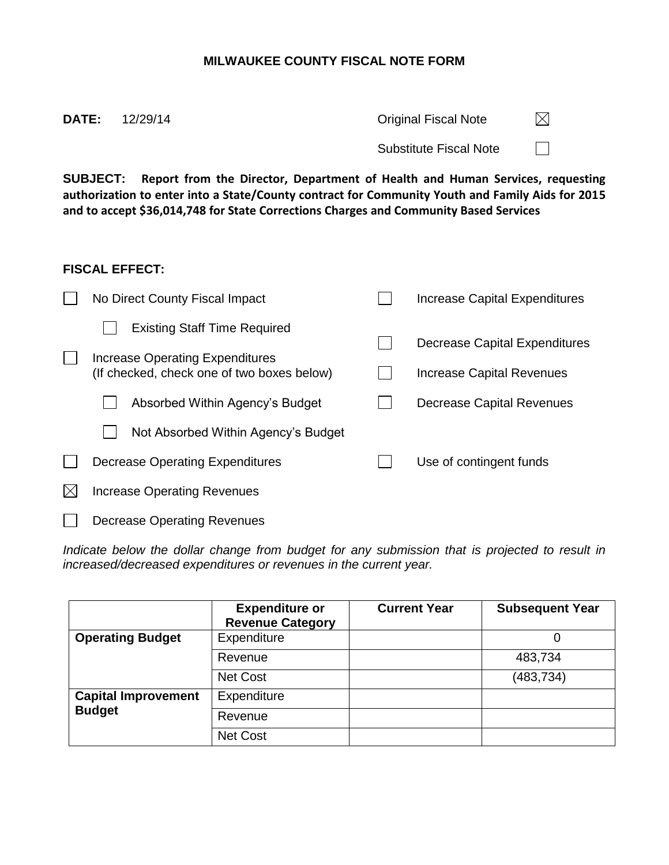## **MILWAUKEE COUNTY FISCAL NOTE FORM**

| $A$ . $B$ . $B$ $A$ $B$ . | The contribution in the International International Contribution in the contribution of the contribution of the |  |
|---------------------------|-----------------------------------------------------------------------------------------------------------------|--|
|                           | <b>Substitute Fiscal Note</b>                                                                                   |  |
| <b>DATE:</b> 12/29/14     | <b>Original Fiscal Note</b>                                                                                     |  |

**SUBJECT: Report from the Director, Department of Health and Human Services, requesting authorization to enter into a State/County contract for Community Youth and Family Aids for 2015 and to accept \$36,014,748 for State Corrections Charges and Community Based Services**

## **FISCAL EFFECT:**

| No Direct County Fiscal Impact                                                                                       | Increase Capital Expenditures                              |
|----------------------------------------------------------------------------------------------------------------------|------------------------------------------------------------|
| <b>Existing Staff Time Required</b><br>Increase Operating Expenditures<br>(If checked, check one of two boxes below) | Decrease Capital Expenditures<br>Increase Capital Revenues |
| Absorbed Within Agency's Budget                                                                                      | Decrease Capital Revenues                                  |
| Not Absorbed Within Agency's Budget                                                                                  |                                                            |
| Decrease Operating Expenditures                                                                                      | Use of contingent funds                                    |
| <b>Increase Operating Revenues</b>                                                                                   |                                                            |
| <b>Decrease Operating Revenues</b>                                                                                   |                                                            |

*Indicate below the dollar change from budget for any submission that is projected to result in increased/decreased expenditures or revenues in the current year.*

|                            | <b>Expenditure or</b><br><b>Revenue Category</b> | <b>Current Year</b> | <b>Subsequent Year</b> |
|----------------------------|--------------------------------------------------|---------------------|------------------------|
| <b>Operating Budget</b>    | Expenditure                                      |                     |                        |
|                            | Revenue                                          |                     | 483,734                |
|                            | Net Cost                                         |                     | (483, 734)             |
| <b>Capital Improvement</b> | Expenditure                                      |                     |                        |
| <b>Budget</b>              | Revenue                                          |                     |                        |
|                            | Net Cost                                         |                     |                        |